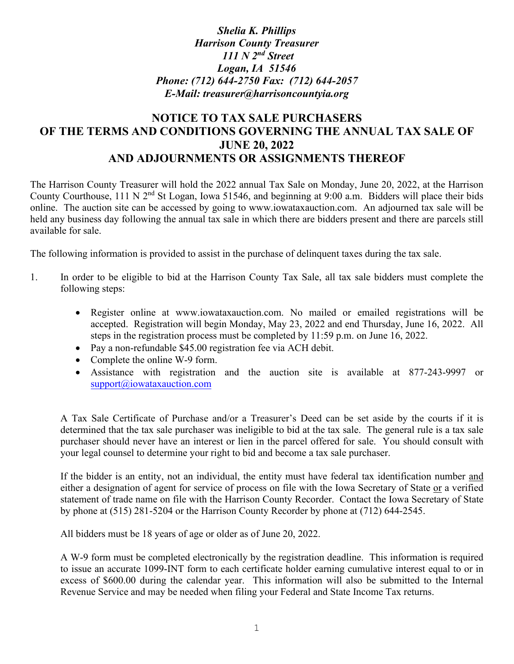## *Shelia K. Phillips Harrison County Treasurer 111 N 2nd Street Logan, IA 51546 Phone: (712) 644-2750 Fax: (712) 644-2057 E-Mail: treasurer@harrisoncountyia.org*

# **NOTICE TO TAX SALE PURCHASERS OF THE TERMS AND CONDITIONS GOVERNING THE ANNUAL TAX SALE OF JUNE 20, 2022 AND ADJOURNMENTS OR ASSIGNMENTS THEREOF**

The Harrison County Treasurer will hold the 2022 annual Tax Sale on Monday, June 20, 2022, at the Harrison County Courthouse, 111 N 2nd St Logan, Iowa 51546, and beginning at 9:00 a.m. Bidders will place their bids online. The auction site can be accessed by going to www.iowataxauction.com. An adjourned tax sale will be held any business day following the annual tax sale in which there are bidders present and there are parcels still available for sale.

The following information is provided to assist in the purchase of delinquent taxes during the tax sale.

- 1. In order to be eligible to bid at the Harrison County Tax Sale, all tax sale bidders must complete the following steps:
	- Register online at www.iowataxauction.com. No mailed or emailed registrations will be accepted. Registration will begin Monday, May 23, 2022 and end Thursday, June 16, 2022. All steps in the registration process must be completed by 11:59 p.m. on June 16, 2022.
	- Pay a non-refundable \$45.00 registration fee via ACH debit.
	- Complete the online W-9 form.
	- Assistance with registration and the auction site is available at 877-243-9997 or [support@iowataxauction.com](mailto:support@iowataxauction.com)

A Tax Sale Certificate of Purchase and/or a Treasurer's Deed can be set aside by the courts if it is determined that the tax sale purchaser was ineligible to bid at the tax sale. The general rule is a tax sale purchaser should never have an interest or lien in the parcel offered for sale. You should consult with your legal counsel to determine your right to bid and become a tax sale purchaser.

If the bidder is an entity, not an individual, the entity must have federal tax identification number and either a designation of agent for service of process on file with the Iowa Secretary of State or a verified statement of trade name on file with the Harrison County Recorder. Contact the Iowa Secretary of State by phone at (515) 281-5204 or the Harrison County Recorder by phone at (712) 644-2545.

All bidders must be 18 years of age or older as of June 20, 2022.

A W-9 form must be completed electronically by the registration deadline. This information is required to issue an accurate 1099-INT form to each certificate holder earning cumulative interest equal to or in excess of \$600.00 during the calendar year. This information will also be submitted to the Internal Revenue Service and may be needed when filing your Federal and State Income Tax returns.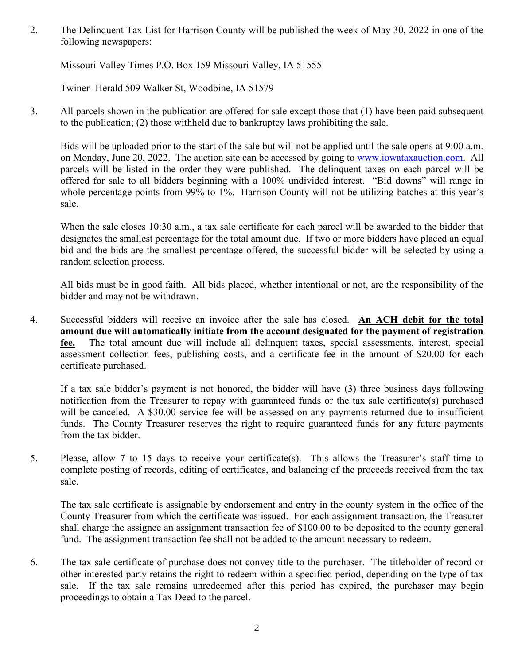2. The Delinquent Tax List for Harrison County will be published the week of May 30, 2022 in one of the following newspapers:

Missouri Valley Times P.O. Box 159 Missouri Valley, IA 51555

Twiner- Herald 509 Walker St, Woodbine, IA 51579

3. All parcels shown in the publication are offered for sale except those that (1) have been paid subsequent to the publication; (2) those withheld due to bankruptcy laws prohibiting the sale.

Bids will be uploaded prior to the start of the sale but will not be applied until the sale opens at 9:00 a.m. on Monday, June 20, 2022. The auction site can be accessed by going to [www.iowataxauction.com.](http://www.iowataxauction.com/) All parcels will be listed in the order they were published. The delinquent taxes on each parcel will be offered for sale to all bidders beginning with a 100% undivided interest. "Bid downs" will range in whole percentage points from 99% to 1%. Harrison County will not be utilizing batches at this year's sale.

When the sale closes 10:30 a.m., a tax sale certificate for each parcel will be awarded to the bidder that designates the smallest percentage for the total amount due. If two or more bidders have placed an equal bid and the bids are the smallest percentage offered, the successful bidder will be selected by using a random selection process.

All bids must be in good faith. All bids placed, whether intentional or not, are the responsibility of the bidder and may not be withdrawn.

4. Successful bidders will receive an invoice after the sale has closed. **An ACH debit for the total amount due will automatically initiate from the account designated for the payment of registration fee.** The total amount due will include all delinquent taxes, special assessments, interest, special assessment collection fees, publishing costs, and a certificate fee in the amount of \$20.00 for each certificate purchased.

If a tax sale bidder's payment is not honored, the bidder will have (3) three business days following notification from the Treasurer to repay with guaranteed funds or the tax sale certificate(s) purchased will be canceled. A \$30.00 service fee will be assessed on any payments returned due to insufficient funds. The County Treasurer reserves the right to require guaranteed funds for any future payments from the tax bidder.

5. Please, allow 7 to 15 days to receive your certificate(s). This allows the Treasurer's staff time to complete posting of records, editing of certificates, and balancing of the proceeds received from the tax sale.

The tax sale certificate is assignable by endorsement and entry in the county system in the office of the County Treasurer from which the certificate was issued. For each assignment transaction, the Treasurer shall charge the assignee an assignment transaction fee of \$100.00 to be deposited to the county general fund. The assignment transaction fee shall not be added to the amount necessary to redeem.

6. The tax sale certificate of purchase does not convey title to the purchaser. The titleholder of record or other interested party retains the right to redeem within a specified period, depending on the type of tax sale. If the tax sale remains unredeemed after this period has expired, the purchaser may begin proceedings to obtain a Tax Deed to the parcel.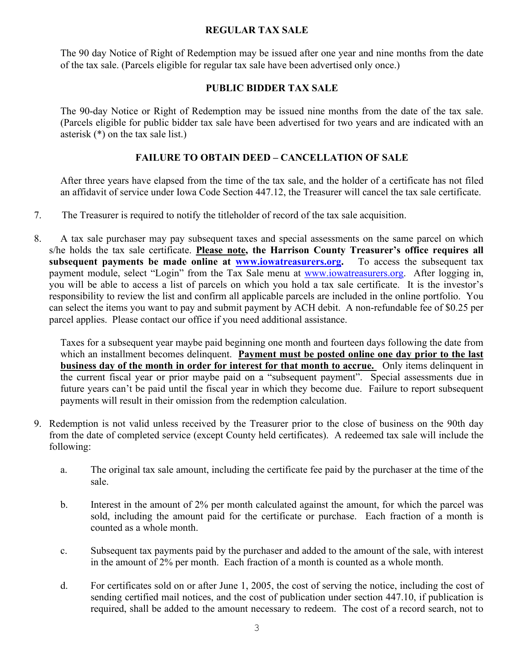#### **REGULAR TAX SALE**

The 90 day Notice of Right of Redemption may be issued after one year and nine months from the date of the tax sale. (Parcels eligible for regular tax sale have been advertised only once.)

#### **PUBLIC BIDDER TAX SALE**

The 90-day Notice or Right of Redemption may be issued nine months from the date of the tax sale. (Parcels eligible for public bidder tax sale have been advertised for two years and are indicated with an asterisk (\*) on the tax sale list.)

### **FAILURE TO OBTAIN DEED – CANCELLATION OF SALE**

After three years have elapsed from the time of the tax sale, and the holder of a certificate has not filed an affidavit of service under Iowa Code Section 447.12, the Treasurer will cancel the tax sale certificate.

- 7. The Treasurer is required to notify the titleholder of record of the tax sale acquisition.
- 8. A tax sale purchaser may pay subsequent taxes and special assessments on the same parcel on which s/he holds the tax sale certificate. **Please note, the Harrison County Treasurer's office requires all subsequent payments be made online at [www.iowatreasurers.org.](http://www.iowatreasurers.org/)** To access the subsequent tax payment module, select "Login" from the Tax Sale menu at [www.iowatreasurers.org.](http://www.iowatreasurers.org/) After logging in, you will be able to access a list of parcels on which you hold a tax sale certificate. It is the investor's responsibility to review the list and confirm all applicable parcels are included in the online portfolio. You can select the items you want to pay and submit payment by ACH debit. A non-refundable fee of \$0.25 per parcel applies. Please contact our office if you need additional assistance.

Taxes for a subsequent year maybe paid beginning one month and fourteen days following the date from which an installment becomes delinquent. **Payment must be posted online one day prior to the last business day of the month in order for interest for that month to accrue.** Only items delinquent in the current fiscal year or prior maybe paid on a "subsequent payment". Special assessments due in future years can't be paid until the fiscal year in which they become due. Failure to report subsequent payments will result in their omission from the redemption calculation.

- 9. Redemption is not valid unless received by the Treasurer prior to the close of business on the 90th day from the date of completed service (except County held certificates). A redeemed tax sale will include the following:
	- a. The original tax sale amount, including the certificate fee paid by the purchaser at the time of the sale.
	- b. Interest in the amount of 2% per month calculated against the amount, for which the parcel was sold, including the amount paid for the certificate or purchase. Each fraction of a month is counted as a whole month.
	- c. Subsequent tax payments paid by the purchaser and added to the amount of the sale, with interest in the amount of 2% per month. Each fraction of a month is counted as a whole month.
	- d. For certificates sold on or after June 1, 2005, the cost of serving the notice, including the cost of sending certified mail notices, and the cost of publication under section 447.10, if publication is required, shall be added to the amount necessary to redeem. The cost of a record search, not to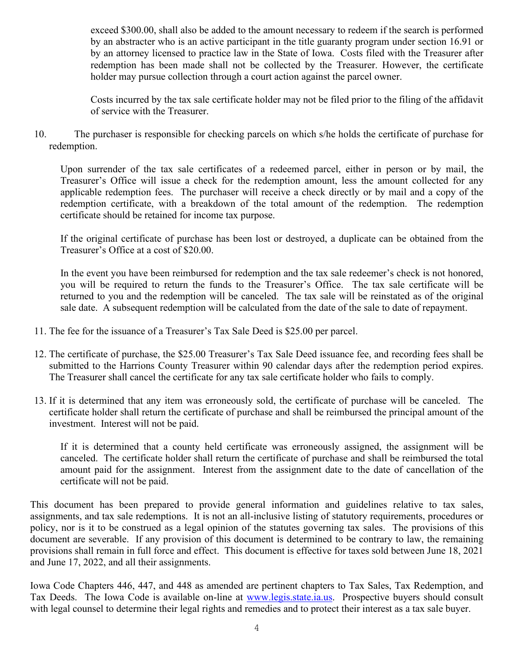exceed \$300.00, shall also be added to the amount necessary to redeem if the search is performed by an abstracter who is an active participant in the title guaranty program under section 16.91 or by an attorney licensed to practice law in the State of Iowa. Costs filed with the Treasurer after redemption has been made shall not be collected by the Treasurer. However, the certificate holder may pursue collection through a court action against the parcel owner.

Costs incurred by the tax sale certificate holder may not be filed prior to the filing of the affidavit of service with the Treasurer.

10. The purchaser is responsible for checking parcels on which s/he holds the certificate of purchase for redemption.

Upon surrender of the tax sale certificates of a redeemed parcel, either in person or by mail, the Treasurer's Office will issue a check for the redemption amount, less the amount collected for any applicable redemption fees. The purchaser will receive a check directly or by mail and a copy of the redemption certificate, with a breakdown of the total amount of the redemption. The redemption certificate should be retained for income tax purpose.

If the original certificate of purchase has been lost or destroyed, a duplicate can be obtained from the Treasurer's Office at a cost of \$20.00.

In the event you have been reimbursed for redemption and the tax sale redeemer's check is not honored, you will be required to return the funds to the Treasurer's Office. The tax sale certificate will be returned to you and the redemption will be canceled. The tax sale will be reinstated as of the original sale date. A subsequent redemption will be calculated from the date of the sale to date of repayment.

- 11. The fee for the issuance of a Treasurer's Tax Sale Deed is \$25.00 per parcel.
- 12. The certificate of purchase, the \$25.00 Treasurer's Tax Sale Deed issuance fee, and recording fees shall be submitted to the Harrions County Treasurer within 90 calendar days after the redemption period expires. The Treasurer shall cancel the certificate for any tax sale certificate holder who fails to comply.
- 13. If it is determined that any item was erroneously sold, the certificate of purchase will be canceled. The certificate holder shall return the certificate of purchase and shall be reimbursed the principal amount of the investment. Interest will not be paid.

If it is determined that a county held certificate was erroneously assigned, the assignment will be canceled. The certificate holder shall return the certificate of purchase and shall be reimbursed the total amount paid for the assignment. Interest from the assignment date to the date of cancellation of the certificate will not be paid.

This document has been prepared to provide general information and guidelines relative to tax sales, assignments, and tax sale redemptions. It is not an all-inclusive listing of statutory requirements, procedures or policy, nor is it to be construed as a legal opinion of the statutes governing tax sales. The provisions of this document are severable. If any provision of this document is determined to be contrary to law, the remaining provisions shall remain in full force and effect. This document is effective for taxes sold between June 18, 2021 and June 17, 2022, and all their assignments.

Iowa Code Chapters 446, 447, and 448 as amended are pertinent chapters to Tax Sales, Tax Redemption, and Tax Deeds. The Iowa Code is available on-line at [www.legis.state.ia.us.](http://www.legis.state.ia.us/) Prospective buyers should consult with legal counsel to determine their legal rights and remedies and to protect their interest as a tax sale buyer.